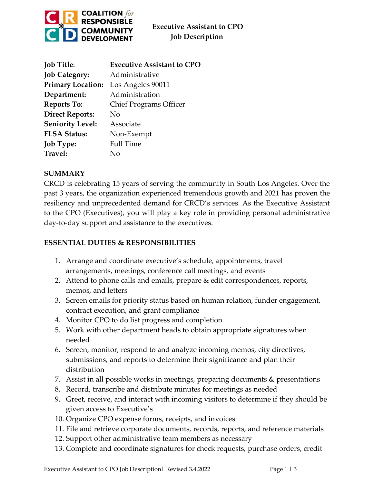

| <b>Job Title:</b>        | <b>Executive Assistant to CPO</b> |
|--------------------------|-----------------------------------|
| <b>Job Category:</b>     | Administrative                    |
| <b>Primary Location:</b> | Los Angeles 90011                 |
| Department:              | Administration                    |
| <b>Reports To:</b>       | <b>Chief Programs Officer</b>     |
| <b>Direct Reports:</b>   | $\rm No$                          |
| <b>Seniority Level:</b>  | Associate                         |
| <b>FLSA Status:</b>      | Non-Exempt                        |
| <b>Job Type:</b>         | <b>Full Time</b>                  |
| Travel:                  | N٥                                |

#### **SUMMARY**

CRCD is celebrating 15 years of serving the community in South Los Angeles. Over the past 3 years, the organization experienced tremendous growth and 2021 has proven the resiliency and unprecedented demand for CRCD's services. As the Executive Assistant to the CPO (Executives), you will play a key role in providing personal administrative day-to-day support and assistance to the executives.

#### **ESSENTIAL DUTIES & RESPONSIBILITIES**

- 1. Arrange and coordinate executive's schedule, appointments, travel arrangements, meetings, conference call meetings, and events
- 2. Attend to phone calls and emails, prepare & edit correspondences, reports, memos, and letters
- 3. Screen emails for priority status based on human relation, funder engagement, contract execution, and grant compliance
- 4. Monitor CPO to do list progress and completion
- 5. Work with other department heads to obtain appropriate signatures when needed
- 6. Screen, monitor, respond to and analyze incoming memos, city directives, submissions, and reports to determine their significance and plan their distribution
- 7. Assist in all possible works in meetings, preparing documents & presentations
- 8. Record, transcribe and distribute minutes for meetings as needed
- 9. Greet, receive, and interact with incoming visitors to determine if they should be given access to Executive's
- 10. Organize CPO expense forms, receipts, and invoices
- 11. File and retrieve corporate documents, records, reports, and reference materials
- 12. Support other administrative team members as necessary
- 13. Complete and coordinate signatures for check requests, purchase orders, credit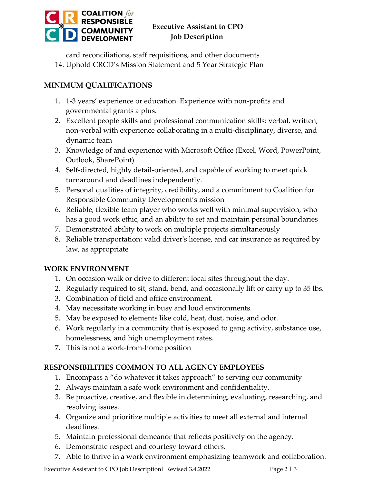

# **Executive Assistant to CPO COMMUNITY** Executive Assistant to<br>DEVELOPMENT Job Description

card reconciliations, staff requisitions, and other documents

14. Uphold CRCD's Mission Statement and 5 Year Strategic Plan

## **MINIMUM QUALIFICATIONS**

- 1. 1-3 years' experience or education. Experience with non-profits and governmental grants a plus.
- 2. Excellent people skills and professional communication skills: verbal, written, non-verbal with experience collaborating in a multi-disciplinary, diverse, and dynamic team
- 3. Knowledge of and experience with Microsoft Office (Excel, Word, PowerPoint, Outlook, SharePoint)
- 4. Self-directed, highly detail-oriented, and capable of working to meet quick turnaround and deadlines independently.
- 5. Personal qualities of integrity, credibility, and a commitment to Coalition for Responsible Community Development's mission
- 6. Reliable, flexible team player who works well with minimal supervision, who has a good work ethic, and an ability to set and maintain personal boundaries
- 7. Demonstrated ability to work on multiple projects simultaneously
- 8. Reliable transportation: valid driver's license, and car insurance as required by law, as appropriate

### **WORK ENVIRONMENT**

- 1. On occasion walk or drive to different local sites throughout the day.
- 2. Regularly required to sit, stand, bend, and occasionally lift or carry up to 35 lbs.
- 3. Combination of field and office environment.
- 4. May necessitate working in busy and loud environments.
- 5. May be exposed to elements like cold, heat, dust, noise, and odor.
- 6. Work regularly in a community that is exposed to gang activity, substance use, homelessness, and high unemployment rates.
- 7. This is not a work-from-home position

### **RESPONSIBILITIES COMMON TO ALL AGENCY EMPLOYEES**

- 1. Encompass a "do whatever it takes approach" to serving our community
- 2. Always maintain a safe work environment and confidentiality.
- 3. Be proactive, creative, and flexible in determining, evaluating, researching, and resolving issues.
- 4. Organize and prioritize multiple activities to meet all external and internal deadlines.
- 5. Maintain professional demeanor that reflects positively on the agency.
- 6. Demonstrate respect and courtesy toward others.
- 7. Able to thrive in a work environment emphasizing teamwork and collaboration.

Executive Assistant to CPO Job Description Revised 3.4.2022 Page 2 | 3